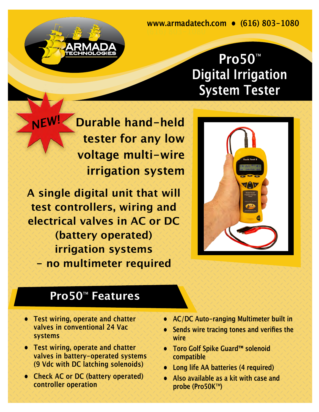**www.armadatech.com • (616) 803-1080** 

## **Pro50**™ **Digital Irrigation System Tester**

**Durable hand-held tester for any low voltage multi-wire irrigation system**

**A single digital unit that will test controllers, wiring and electrical valves in AC or DC (battery operated) irrigation systems - no multimeter required**

TECHNOLOGIES

*NEW!*



## **Pro50**™ **Features**

- **• Test wiring, operate and chatter valves in conventional 24 Vac systems**
- **• Test wiring, operate and chatter valves in battery-operated systems (9 Vdc with DC latching solenoids)**
- **• Check AC or DC (battery operated) controller operation**
- **• AC/DC Auto-ranging Multimeter built in**
- **• Sends wire tracing tones and verifies the wire**
- **• Toro Golf Spike Guard™ solenoid compatible**
- **• Long life AA batteries (4 required)**
- **• Also available as a kit with case and probe (Pro50K**™**)**